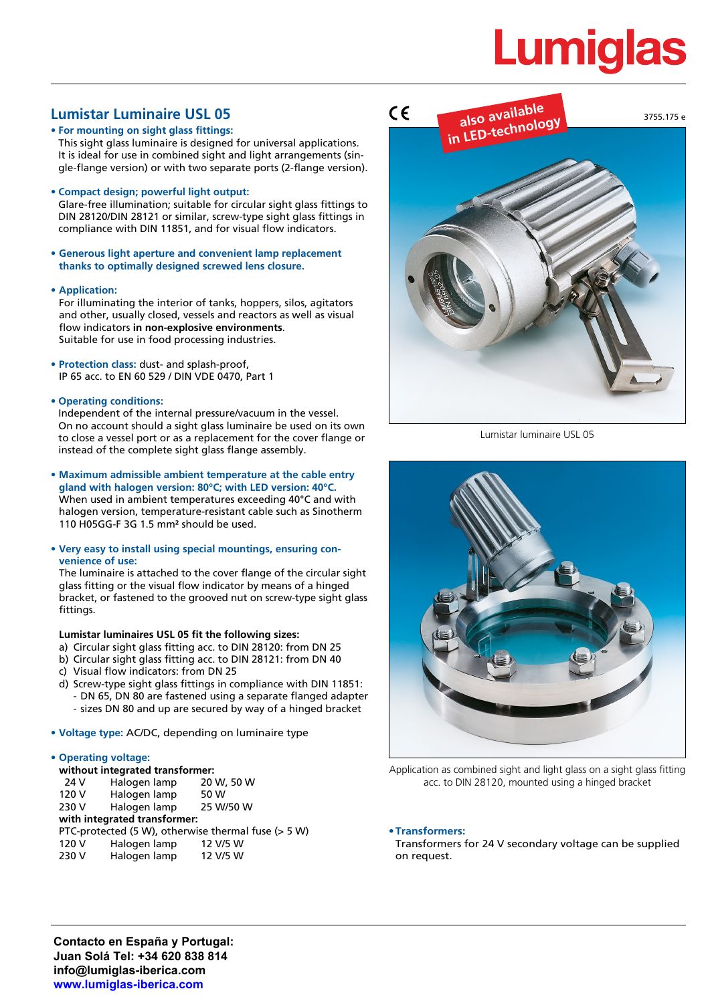# **Lumiglas**

# **Lumistar Luminaire USL 05**

**• For mounting on sight glass fittings:** This sight glass luminaire is designed for universal applications. It is ideal for use in combined sight and light arrangements (single-flange version) or with two separate ports (2-flange version).

## **• Compact design; powerful light output:**

Glare-free illumination; suitable for circular sight glass fittings to DIN 28120/DIN 28121 or similar, screw-type sight glass fittings in compliance with DIN 11851, and for visual flow indicators.

**• Generous light aperture and convenient lamp replacement thanks to optimally designed screwed lens closure.**

### **• Application:**

For illuminating the interior of tanks, hoppers, silos, agitators and other, usually closed, vessels and reactors as well as visual flow indicators **in non-explosive environments**. Suitable for use in food processing industries.

- **• Protection class:** dust- and splash-proof, IP 65 acc. to EN 60 529 / DIN VDE 0470, Part 1
- **• Operating conditions:**

Independent of the internal pressure/vacuum in the vessel. On no account should a sight glass luminaire be used on its own to close a vessel port or as a replacement for the cover flange or instead of the complete sight glass flange assembly.

**• Maximum admissible ambient temperature at the cable entry gland with halogen version: 80°C; with LED version: 40°C.** When used in ambient temperatures exceeding 40°C and with halogen version, temperature-resistant cable such as Sinotherm 110 H05GG-F 3G 1.5 mm² should be used.

#### **• Very easy to install using special mountings, ensuring convenience of use:**

The luminaire is attached to the cover flange of the circular sight glass fitting or the visual flow indicator by means of a hinged bracket, or fastened to the grooved nut on screw-type sight glass fittings.

### **Lumistar luminaires USL 05 fit the following sizes:**

- a) Circular sight glass fitting acc. to DIN 28120: from DN 25
- b) Circular sight glass fitting acc. to DIN 28121: from DN 40
- c) Visual flow indicators: from DN 25
- d) Screw-type sight glass fittings in compliance with DIN 11851: - DN 65, DN 80 are fastened using a separate flanged adapter - sizes DN 80 and up are secured by way of a hinged bracket
- **• Voltage type:** AC/DC, depending on luminaire type

### **• Operating voltage:**

| without integrated transformer: |                              |                                                     |  |  |  |  |  |
|---------------------------------|------------------------------|-----------------------------------------------------|--|--|--|--|--|
| 24 V                            | Halogen lamp                 | 20 W, 50 W                                          |  |  |  |  |  |
| 120 V                           | Halogen lamp                 | 50 W                                                |  |  |  |  |  |
| 230 V                           | Halogen lamp                 | 25 W/50 W                                           |  |  |  |  |  |
|                                 | with integrated transformer: |                                                     |  |  |  |  |  |
|                                 |                              | PTC-protected (5 W), otherwise thermal fuse (> 5 W) |  |  |  |  |  |
| 120 V                           | Halogen lamp                 | 12 V/5 W                                            |  |  |  |  |  |
| 230 V                           | Halogen lamp                 | 12 V/5 W                                            |  |  |  |  |  |



Lumistar luminaire USL 05



Application as combined sight and light glass on a sight glass fitting acc. to DIN 28120, mounted using a hinged bracket

### **•Transformers:**

Transformers for 24 V secondary voltage can be supplied on request.

**Contacto en España y Portugal: Juan Solá Tel: +34 620 838 814 info@lumiglas-iberica.com www.lumiglas-iberica.com**